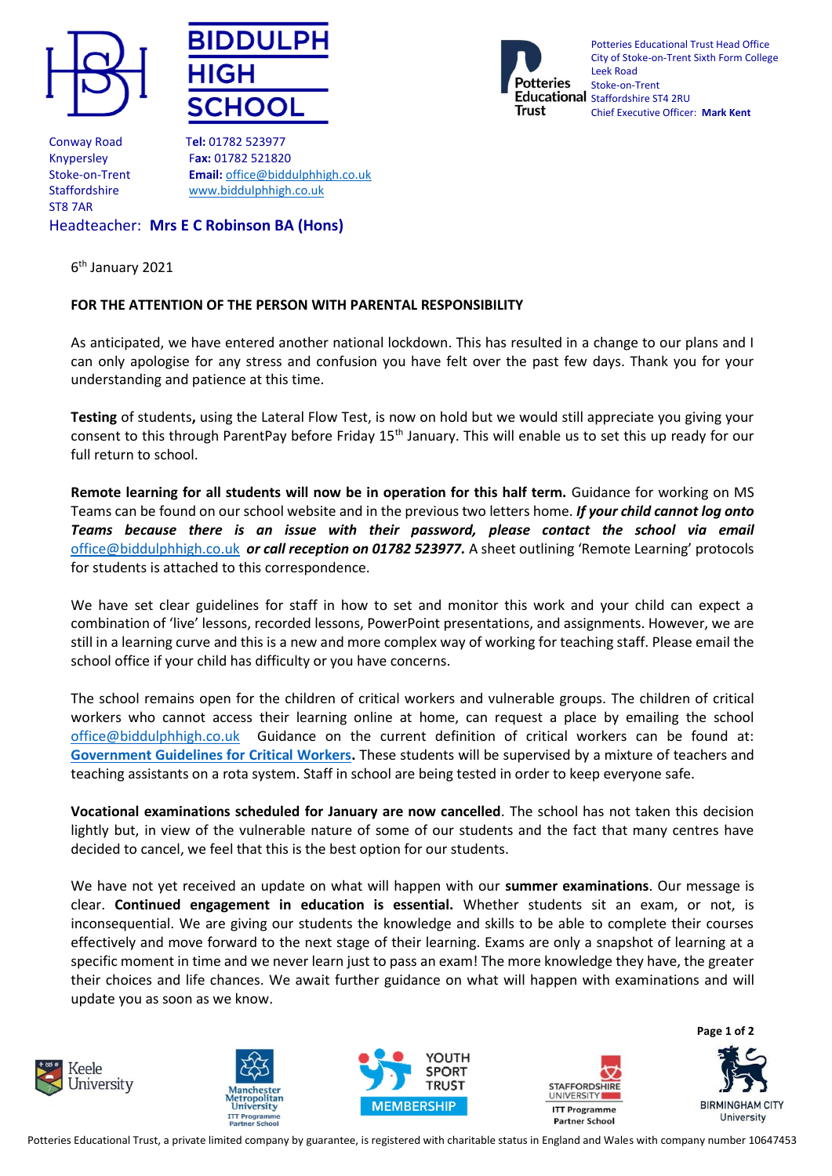





Potteries Educational Trust Head Office City of Stoke-on-Trent Sixth Form College Leek Road Stoke-on-Trent Educational staffordshire ST4 2RU Chief Executive Officer: **Mark Kent**

Conway Road T**el:** 01782 523977 ST8 7AR

Knypersley F**ax:** 01782 521820 Stoke-on-Trent **Email:** [office@biddulphhigh.co.uk](mailto:office@biddulphhigh.co.uk) Staffordshire [www.biddulphhigh.co.uk](http://www.biddulphhigh.co.uk/) 

Headteacher: **Mrs E C Robinson BA (Hons)**

6<sup>th</sup> January 2021

## **FOR THE ATTENTION OF THE PERSON WITH PARENTAL RESPONSIBILITY**

As anticipated, we have entered another national lockdown. This has resulted in a change to our plans and I can only apologise for any stress and confusion you have felt over the past few days. Thank you for your understanding and patience at this time.

**Testing** of students**,** using the Lateral Flow Test, is now on hold but we would still appreciate you giving your consent to this through ParentPay before Friday 15<sup>th</sup> January. This will enable us to set this up ready for our full return to school.

**Remote learning for all students will now be in operation for this half term.** Guidance for working on MS Teams can be found on our school website and in the previous two letters home. *If your child cannot log onto Teams because there is an issue with their password, please contact the school via email*  [office@biddulphhigh.co.uk](mailto:office@biddulphhigh.co.uk) *or call reception on 01782 523977.* A sheet outlining 'Remote Learning' protocols for students is attached to this correspondence.

We have set clear guidelines for staff in how to set and monitor this work and your child can expect a combination of 'live' lessons, recorded lessons, PowerPoint presentations, and assignments. However, we are still in a learning curve and this is a new and more complex way of working for teaching staff. Please email the school office if your child has difficulty or you have concerns.

The school remains open for the children of critical workers and vulnerable groups. The children of critical workers who cannot access their learning online at home, can request a place by emailing the school [office@biddulphhigh.co.uk](mailto:office@biddulphhigh.co.uk) Guidance on the current definition of critical workers can be found at: **[Government Guidelines for Critical Workers.](https://www.gov.uk/government/publications/coronavirus-covid-19-maintaining-educational-provision/guidance-for-schools-colleges-and-local-authorities-on-maintaining-educational-provision%23critical-workers)** These students will be supervised by a mixture of teachers and teaching assistants on a rota system. Staff in school are being tested in order to keep everyone safe.

**Vocational examinations scheduled for January are now cancelled**. The school has not taken this decision lightly but, in view of the vulnerable nature of some of our students and the fact that many centres have decided to cancel, we feel that this is the best option for our students.

We have not yet received an update on what will happen with our **summer examinations**. Our message is clear. **Continued engagement in education is essential.** Whether students sit an exam, or not, is inconsequential. We are giving our students the knowledge and skills to be able to complete their courses effectively and move forward to the next stage of their learning. Exams are only a snapshot of learning at a specific moment in time and we never learn just to pass an exam! The more knowledge they have, the greater their choices and life chances. We await further guidance on what will happen with examinations and will update you as soon as we know.









**Page 1 of 2 BIRMINGHAM CITY** University

Potteries Educational Trust, a private limited company by guarantee, is registered with charitable status in England and Wales with company number 10647453